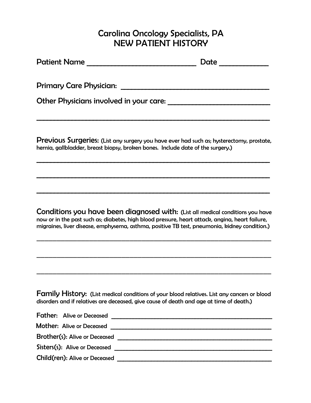## Carolina Oncology Specialists, PA NEW PATIENT HISTORY

| <b>Patient Name</b>                     | Date |
|-----------------------------------------|------|
| <b>Primary Care Physician:</b>          |      |
| Other Physicians involved in your care: |      |
|                                         |      |

Previous Surgeries: (List any surgery you have ever had such as; hysterectomy, prostate, hernia, gallbladder, breast biopsy, broken bones. Include date of the surgery.)

 $\mathcal{L}_\mathcal{L} = \mathcal{L}_\mathcal{L} = \mathcal{L}_\mathcal{L} = \mathcal{L}_\mathcal{L} = \mathcal{L}_\mathcal{L} = \mathcal{L}_\mathcal{L} = \mathcal{L}_\mathcal{L} = \mathcal{L}_\mathcal{L} = \mathcal{L}_\mathcal{L} = \mathcal{L}_\mathcal{L} = \mathcal{L}_\mathcal{L} = \mathcal{L}_\mathcal{L} = \mathcal{L}_\mathcal{L} = \mathcal{L}_\mathcal{L} = \mathcal{L}_\mathcal{L} = \mathcal{L}_\mathcal{L} = \mathcal{L}_\mathcal{L}$ 

 $\mathcal{L} = \{ \mathcal{L} = \{ \mathcal{L} = \{ \mathcal{L} = \mathcal{L} \} \mid \mathcal{L} = \{ \mathcal{L} = \{ \mathcal{L} = \mathcal{L} \} \mid \mathcal{L} = \{ \mathcal{L} = \{ \mathcal{L} = \mathcal{L} \} \mid \mathcal{L} = \{ \mathcal{L} = \{ \mathcal{L} = \mathcal{L} \} \mid \mathcal{L} = \{ \mathcal{L} = \{ \mathcal{L} = \mathcal{L} \} \mid \mathcal{L} = \{ \mathcal{L} = \{ \mathcal{L} = \mathcal{L} \} \mid \$ 

 $\mathcal{L} = \{ \mathcal{L} = \{ \mathcal{L} = \{ \mathcal{L} = \mathcal{L} \} \mid \mathcal{L} = \{ \mathcal{L} = \{ \mathcal{L} = \mathcal{L} \} \mid \mathcal{L} = \{ \mathcal{L} = \{ \mathcal{L} = \mathcal{L} \} \mid \mathcal{L} = \{ \mathcal{L} = \{ \mathcal{L} = \mathcal{L} \} \mid \mathcal{L} = \{ \mathcal{L} = \{ \mathcal{L} = \mathcal{L} \} \mid \mathcal{L} = \{ \mathcal{L} = \{ \mathcal{L} = \mathcal{L} \} \mid \$ 

Conditions you have been diagnosed with: (List all medical conditions you have now or in the past such as; diabetes, high blood pressure, heart attack, angina, heart failure, migraines, liver disease, emphysema, asthma, positive TB test, pneumonia, kidney condition.)

\_\_\_\_\_\_\_\_\_\_\_\_\_\_\_\_\_\_\_\_\_\_\_\_\_\_\_\_\_\_\_\_\_\_\_\_\_\_\_\_\_\_\_\_\_\_\_\_\_\_\_\_\_\_\_\_\_\_

\_\_\_\_\_\_\_\_\_\_\_\_\_\_\_\_\_\_\_\_\_\_\_\_\_\_\_\_\_\_\_\_\_\_\_\_\_\_\_\_\_\_\_\_\_\_\_\_\_\_\_\_\_\_\_\_\_\_

\_\_\_\_\_\_\_\_\_\_\_\_\_\_\_\_\_\_\_\_\_\_\_\_\_\_\_\_\_\_\_\_\_\_\_\_\_\_\_\_\_\_\_\_\_\_\_\_\_\_\_\_\_\_\_\_\_\_

Family History: (List medical conditions of your blood relatives. List any cancers or blood disorders and if relatives are deceased, give cause of death and age at time of death.)

| <b>Father:</b> Alive or Deceased |
|----------------------------------|
| <b>Mother: Alive or Deceased</b> |
| Brother(s): Alive or Deceased    |
| Sisters(s): Alive or Deceased    |
| Child(ren): Alive or Deceased    |
|                                  |